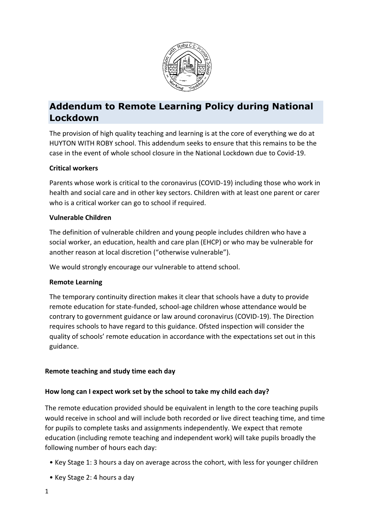

# **Addendum to Remote Learning Policy during National Lockdown**

The provision of high quality teaching and learning is at the core of everything we do at HUYTON WITH ROBY school. This addendum seeks to ensure that this remains to be the case in the event of whole school closure in the National Lockdown due to Covid-19.

## **Critical workers**

Parents whose work is critical to the coronavirus (COVID-19) including those who work in health and social care and in other key sectors. Children with at least one parent or carer who is a critical worker can go to school if required.

## **Vulnerable Children**

The definition of vulnerable children and young people includes children who have a social worker, an education, health and care plan (EHCP) or who may be vulnerable for another reason at local discretion ("otherwise vulnerable").

We would strongly encourage our vulnerable to attend school.

#### **Remote Learning**

The temporary continuity direction makes it clear that schools have a duty to provide remote education for state-funded, school-age children whose attendance would be contrary to government guidance or law around coronavirus (COVID-19). The Direction requires schools to have regard to this guidance. Ofsted inspection will consider the quality of schools' remote education in accordance with the expectations set out in this guidance.

## **Remote teaching and study time each day**

## **How long can I expect work set by the school to take my child each day?**

The remote education provided should be equivalent in length to the core teaching pupils would receive in school and will include both recorded or live direct teaching time, and time for pupils to complete tasks and assignments independently. We expect that remote education (including remote teaching and independent work) will take pupils broadly the following number of hours each day:

- Key Stage 1: 3 hours a day on average across the cohort, with less for younger children
- Key Stage 2: 4 hours a day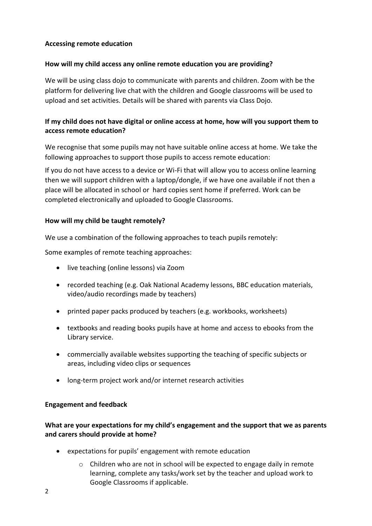## **Accessing remote education**

## **How will my child access any online remote education you are providing?**

We will be using class dojo to communicate with parents and children. Zoom with be the platform for delivering live chat with the children and Google classrooms will be used to upload and set activities. Details will be shared with parents via Class Dojo.

# **If my child does not have digital or online access at home, how will you support them to access remote education?**

We recognise that some pupils may not have suitable online access at home. We take the following approaches to support those pupils to access remote education:

If you do not have access to a device or Wi-Fi that will allow you to access online learning then we will support children with a laptop/dongle, if we have one available if not then a place will be allocated in school or hard copies sent home if preferred. Work can be completed electronically and uploaded to Google Classrooms.

## **How will my child be taught remotely?**

We use a combination of the following approaches to teach pupils remotely:

Some examples of remote teaching approaches:

- live teaching (online lessons) via Zoom
- recorded teaching (e.g. Oak National Academy lessons, BBC education materials, video/audio recordings made by teachers)
- printed paper packs produced by teachers (e.g. workbooks, worksheets)
- textbooks and reading books pupils have at home and access to ebooks from the Library service.
- commercially available websites supporting the teaching of specific subjects or areas, including video clips or sequences
- long-term project work and/or internet research activities

#### **Engagement and feedback**

## **What are your expectations for my child's engagement and the support that we as parents and carers should provide at home?**

- expectations for pupils' engagement with remote education
	- $\circ$  Children who are not in school will be expected to engage daily in remote learning, complete any tasks/work set by the teacher and upload work to Google Classrooms if applicable.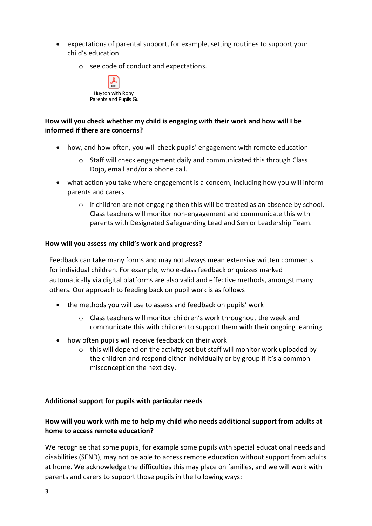- expectations of parental support, for example, setting routines to support your child's education
	- o see code of conduct and expectations.



# **How will you check whether my child is engaging with their work and how will I be informed if there are concerns?**

- how, and how often, you will check pupils' engagement with remote education
	- o Staff will check engagement daily and communicated this through Class Dojo, email and/or a phone call.
- what action you take where engagement is a concern, including how you will inform parents and carers
	- $\circ$  If children are not engaging then this will be treated as an absence by school. Class teachers will monitor non-engagement and communicate this with parents with Designated Safeguarding Lead and Senior Leadership Team.

## **How will you assess my child's work and progress?**

Feedback can take many forms and may not always mean extensive written comments for individual children. For example, whole-class feedback or quizzes marked automatically via digital platforms are also valid and effective methods, amongst many others. Our approach to feeding back on pupil work is as follows

- the methods you will use to assess and feedback on pupils' work
	- o Class teachers will monitor children's work throughout the week and communicate this with children to support them with their ongoing learning.
- how often pupils will receive feedback on their work
	- $\circ$  this will depend on the activity set but staff will monitor work uploaded by the children and respond either individually or by group if it's a common misconception the next day.

## **Additional support for pupils with particular needs**

## **How will you work with me to help my child who needs additional support from adults at home to access remote education?**

We recognise that some pupils, for example some pupils with special educational needs and disabilities (SEND), may not be able to access remote education without support from adults at home. We acknowledge the difficulties this may place on families, and we will work with parents and carers to support those pupils in the following ways: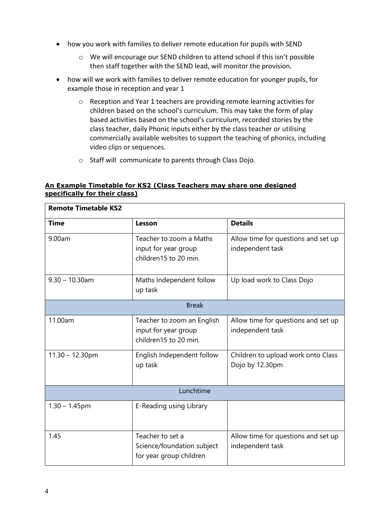- how you work with families to deliver remote education for pupils with SEND
	- o We will encourage our SEND children to attend school if this isn't possible then staff together with the SEND lead, will monitor the provision.
- how will we work with families to deliver remote education for younger pupils, for example those in reception and year 1
	- o Reception and Year 1 teachers are providing remote learning activities for children based on the school's curriculum. This may take the form of play based activities based on the school's curriculum, recorded stories by the class teacher, daily Phonic inputs either by the class teacher or utilising commercially available websites to support the teaching of phonics, including video clips or sequences.
	- o Staff will communicate to parents through Class Dojo.

## **An Example Timetable for KS2 (Class Teachers may share one designed specifically for their class)**

| <b>Remote Timetable KS2</b> |                                                                             |                                                         |  |  |
|-----------------------------|-----------------------------------------------------------------------------|---------------------------------------------------------|--|--|
| <b>Time</b>                 | Lesson                                                                      | <b>Details</b>                                          |  |  |
| 9.00am                      | Teacher to zoom a Maths<br>input for year group<br>children15 to 20 min.    | Allow time for questions and set up<br>independent task |  |  |
| $9.30 - 10.30$ am           | Maths Independent follow<br>up task                                         | Up load work to Class Dojo                              |  |  |
| <b>Break</b>                |                                                                             |                                                         |  |  |
| 11.00am                     | Teacher to zoom an English<br>input for year group<br>children15 to 20 min. | Allow time for questions and set up<br>independent task |  |  |
| $11.30 - 12.30$ pm          | English Independent follow<br>up task                                       | Children to upload work onto Class<br>Dojo by 12.30pm   |  |  |
| Lunchtime                   |                                                                             |                                                         |  |  |
| $1.30 - 1.45$ pm            | E-Reading using Library                                                     |                                                         |  |  |
| 1.45                        | Teacher to set a<br>Science/foundation subject<br>for year group children   | Allow time for questions and set up<br>independent task |  |  |